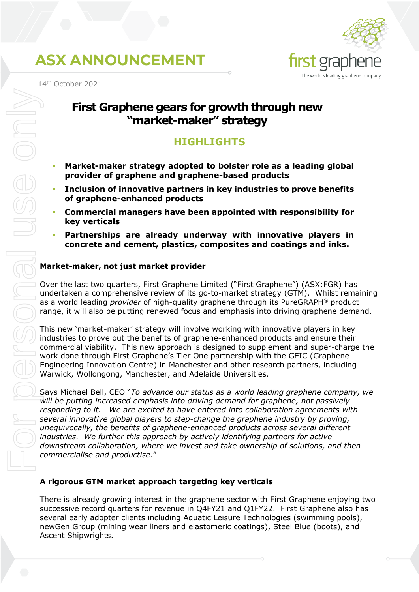

14th October 2021

### **First Graphene gears for growth through new "market-maker" strategy**

### **HIGHLIGHTS**

- **Market-maker strategy adopted to bolster role as a leading global provider of graphene and graphene-based products**
- **Inclusion of innovative partners in key industries to prove benefits of graphene-enhanced products**
- **Commercial managers have been appointed with responsibility for key verticals**
- **Partnerships are already underway with innovative players in concrete and cement, plastics, composites and coatings and inks.**

#### **Market-maker, not just market provider**

Over the last two quarters, First Graphene Limited ("First Graphene") (ASX:FGR) has undertaken a comprehensive review of its go-to-market strategy (GTM). Whilst remaining as a world leading *provider* of high-quality graphene through its PureGRAPH® product range, it will also be putting renewed focus and emphasis into driving graphene demand.

This new 'market-maker' strategy will involve working with innovative players in key industries to prove out the benefits of graphene-enhanced products and ensure their commercial viability. This new approach is designed to supplement and super-charge the work done through First Graphene's Tier One partnership with the GEIC (Graphene Engineering Innovation Centre) in Manchester and other research partners, including Warwick, Wollongong, Manchester, and Adelaide Universities.

Says Michael Bell, CEO "*To advance our status as a world leading graphene company, we will be putting increased emphasis into driving demand for graphene, not passively responding to it. We are excited to have entered into collaboration agreements with several innovative global players to step-change the graphene industry by proving, unequivocally, the benefits of graphene-enhanced products across several different industries. We further this approach by actively identifying partners for active downstream collaboration, where we invest and take ownership of solutions, and then commercialise and productise.*"

### **A rigorous GTM market approach targeting key verticals**

There is already growing interest in the graphene sector with First Graphene enjoying two successive record quarters for revenue in Q4FY21 and Q1FY22. First Graphene also has several early adopter clients including Aquatic Leisure Technologies (swimming pools), newGen Group (mining wear liners and elastomeric coatings), Steel Blue (boots), and Ascent Shipwrights.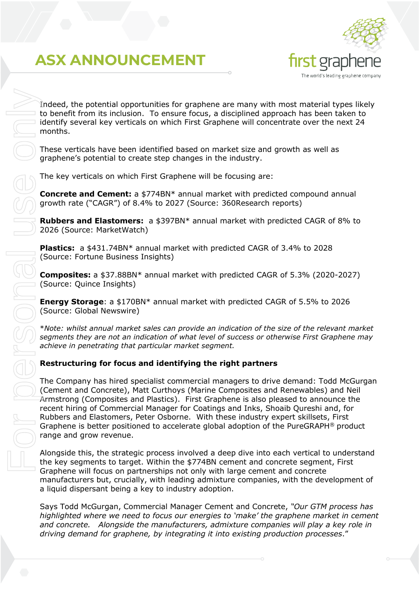

Indeed, the potential opportunities for graphene are many with most material types likely to benefit from its inclusion. To ensure focus, a disciplined approach has been taken to identify several key verticals on which First Graphene will concentrate over the next 24 months.

These verticals have been identified based on market size and growth as well as graphene's potential to create step changes in the industry.

The key verticals on which First Graphene will be focusing are:

**Concrete and Cement:** a \$774BN\* annual market with predicted compound annual growth rate ("CAGR") of 8.4% to 2027 (Source: 360Research reports)

**Rubbers and Elastomers:** a \$397BN\* annual market with predicted CAGR of 8% to 2026 (Source: MarketWatch)

**Plastics:** a \$431.74BN\* annual market with predicted CAGR of 3.4% to 2028 (Source: Fortune Business Insights)

**Composites:** a \$37.88BN\* annual market with predicted CAGR of 5.3% (2020-2027) (Source: Quince Insights)

**Energy Storage**: a \$170BN\* annual market with predicted CAGR of 5.5% to 2026 (Source: Global Newswire)

\**Note: whilst annual market sales can provide an indication of the size of the relevant market segments they are not an indication of what level of success or otherwise First Graphene may achieve in penetrating that particular market segment.*

#### **Restructuring for focus and identifying the right partners**

The Company has hired specialist commercial managers to drive demand: Todd McGurgan (Cement and Concrete), Matt Curthoys (Marine Composites and Renewables) and Neil Armstrong (Composites and Plastics). First Graphene is also pleased to announce the recent hiring of Commercial Manager for Coatings and Inks, Shoaib Qureshi and, for Rubbers and Elastomers, Peter Osborne. With these industry expert skillsets, First Graphene is better positioned to accelerate global adoption of the PureGRAPH® product range and grow revenue. *Indeed, the potential opportunities for graphene are many with most material type<br>
to benefit form its inclusion. To ensure foots, a disciplined approach has been takes<br>
methods and the methods are the methods and the met* 

Alongside this, the strategic process involved a deep dive into each vertical to understand the key segments to target. Within the \$774BN cement and concrete segment, First Graphene will focus on partnerships not only with large cement and concrete manufacturers but, crucially, with leading admixture companies, with the development of a liquid dispersant being a key to industry adoption.

Says Todd McGurgan, Commercial Manager Cement and Concrete, *"Our GTM process has highlighted where we need to focus our energies to 'make' the graphene market in cement and concrete. Alongside the manufacturers, admixture companies will play a key role in*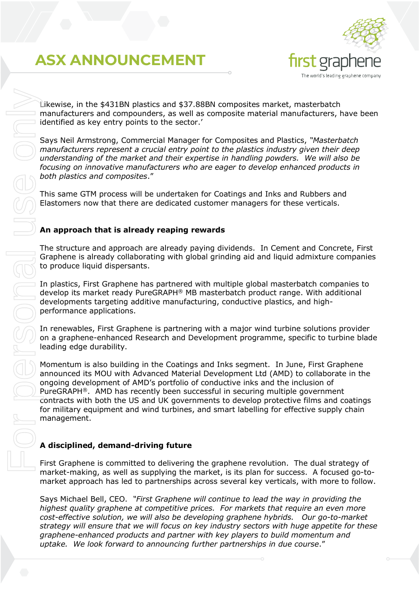

Likewise, in the \$431BN plastics and \$37.88BN composites market, masterbatch manufacturers and compounders, as well as composite material manufacturers, have been identified as key entry points to the sector.'

Says Neil Armstrong, Commercial Manager for Composites and Plastics, *"Masterbatch manufacturers represent a crucial entry point to the plastics industry given their deep understanding of the market and their expertise in handling powders. We will also be focusing on innovative manufacturers who are eager to develop enhanced products in both plastics and composites*."

This same GTM process will be undertaken for Coatings and Inks and Rubbers and Elastomers now that there are dedicated customer managers for these verticals.

#### **An approach that is already reaping rewards**

The structure and approach are already paying dividends. In Cement and Concrete, First Graphene is already collaborating with global grinding aid and liquid admixture companies to produce liquid dispersants.

In plastics, First Graphene has partnered with multiple global masterbatch companies to develop its market ready PureGRAPH® MB masterbatch product range. With additional developments targeting additive manufacturing, conductive plastics, and highperformance applications.

In renewables, First Graphene is partnering with a major wind turbine solutions provider on a graphene-enhanced Research and Development programme, specific to turbine blade leading edge durability.

Momentum is also building in the Coatings and Inks segment. In June, First Graphene announced its MOU with Advanced Material Development Ltd (AMD) to collaborate in the ongoing development of AMD's portfolio of conductive inks and the inclusion of PureGRAPH®. AMD has recently been successful in securing multiple government contracts with both the US and UK governments to develop protective films and coatings for military equipment and wind turbines, and smart labelling for effective supply chain management. Likewise, in the s431BN plastics and \$37.88BN composites market, master<br>
manufacturers and componders, as well as<br>
learning a composites only the sector:<br>
Says Nell Ammatong, Commercial Manager for Composites and Plastics,

### **A disciplined, demand-driving future**

First Graphene is committed to delivering the graphene revolution. The dual strategy of market-making, as well as supplying the market, is its plan for success. A focused go-tomarket approach has led to partnerships across several key verticals, with more to follow.

Says Michael Bell, CEO. *"First Graphene will continue to lead the way in providing the highest quality graphene at competitive prices. For markets that require an even more cost-effective solution, we will also be developing graphene hybrids. Our go-to-market strategy will ensure that we will focus on key industry sectors with huge appetite for these graphene-enhanced products and partner with key players to build momentum and*